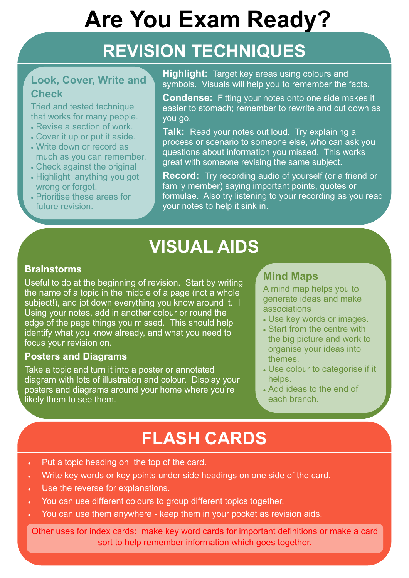# **Are You Exam Ready?**

## **REVISION TECHNIQUES**

### **Look, Cover, Write and Check**

Tried and tested technique that works for many people. **Highlight:** Target key areas using colours and symbols. Visuals will help you to remember the facts.

- Revise a section of work.
- Cover it up or put it aside.
- Write down or record as much as you can remember.
- Check against the original
- Highlight anything you got wrong or forgot.
- Prioritise these areas for future revision.

**Condense:** Fitting your notes onto one side makes it easier to stomach; remember to rewrite and cut down as you go.

**Talk:** Read your notes out loud. Try explaining a process or scenario to someone else, who can ask you questions about information you missed. This works great with someone revising the same subject.

**Record:** Try recording audio of yourself (or a friend or family member) saying important points, quotes or formulae. Also try listening to your recording as you read your notes to help it sink in.

### **VISUAL AIDS**

### **Mind Maps**

A mind map helps you to generate ideas and make associations

- Use key words or images.
- Start from the centre with the big picture and work to organise your ideas into themes.
- Use colour to categorise if it helps.
- Add ideas to the end of each branch.

#### **Brainstorms**

Useful to do at the beginning of revision. Start by writing the name of a topic in the middle of a page (not a whole subject!), and jot down everything you know around it. I Using your notes, add in another colour or round the edge of the page things you missed. This should help identify what you know already, and what you need to focus your revision on.

#### **Posters and Diagrams**

Take a topic and turn it into a poster or annotated diagram with lots of illustration and colour. Display your posters and diagrams around your home where you're likely them to see them.

### **FLASH CARDS**

Other uses for index cards: make key word cards for important definitions or make a card sort to help remember information which goes together.

- Put a topic heading on the top of the card.
- Write key words or key points under side headings on one side of the card.
- Use the reverse for explanations.
- You can use different colours to group different topics together.
- You can use them anywhere keep them in your pocket as revision aids.